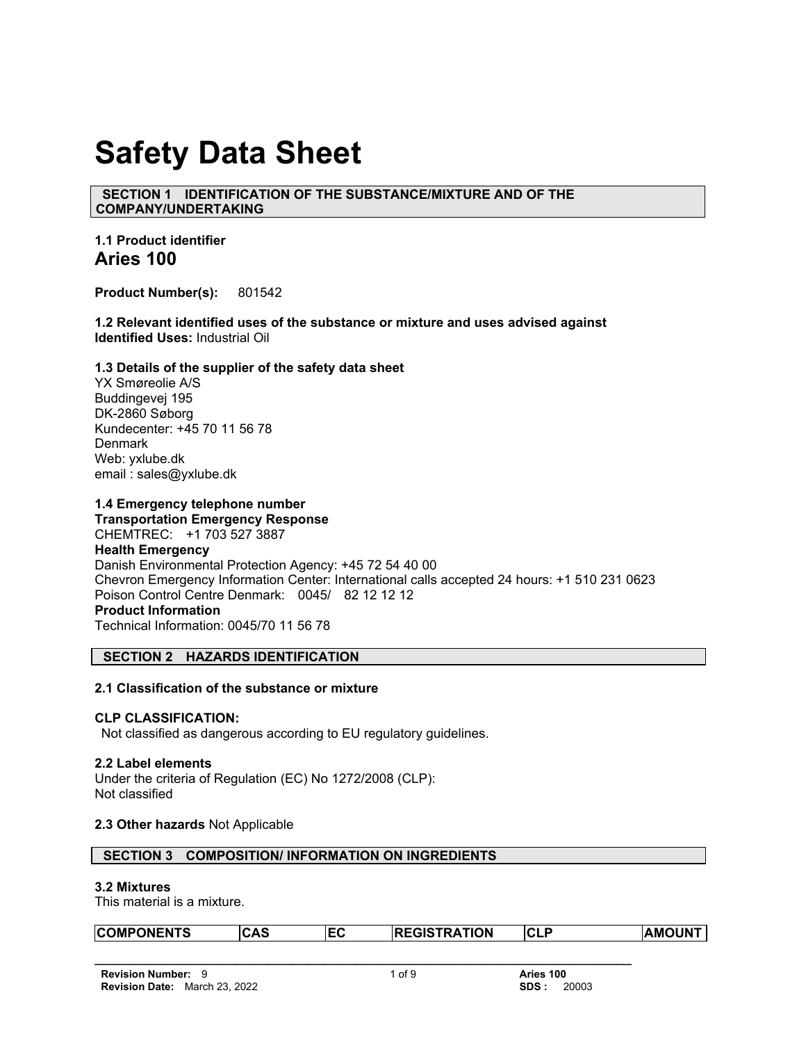# **Safety Data Sheet**

 **SECTION 1 IDENTIFICATION OF THE SUBSTANCE/MIXTURE AND OF THE COMPANY/UNDERTAKING**

**1.1 Product identifier Aries 100**

**Product Number(s):** 801542

**1.2 Relevant identified uses of the substance or mixture and uses advised against Identified Uses:** Industrial Oil

## **1.3 Details of the supplier of the safety data sheet**

YX Smøreolie A/S Buddingevej 195 DK-2860 Søborg Kundecenter: +45 70 11 56 78 **Denmark** Web: yxlube.dk email : sales@yxlube.dk

## **1.4 Emergency telephone number**

**Transportation Emergency Response** CHEMTREC: +1 703 527 3887 **Health Emergency** Danish Environmental Protection Agency: +45 72 54 40 00 Chevron Emergency Information Center: International calls accepted 24 hours: +1 510 231 0623 Poison Control Centre Denmark: 0045/ 82 12 12 12 **Product Information**  Technical Information: 0045/70 11 56 78

## **SECTION 2 HAZARDS IDENTIFICATION**

## **2.1 Classification of the substance or mixture**

## **CLP CLASSIFICATION:**

Not classified as dangerous according to EU regulatory guidelines.

#### **2.2 Label elements**

Under the criteria of Regulation (EC) No 1272/2008 (CLP): Not classified

# **2.3 Other hazards** Not Applicable

|  | SECTION 3 COMPOSITION/INFORMATION ON INGREDIENTS |
|--|--------------------------------------------------|
|--|--------------------------------------------------|

#### **3.2 Mixtures**

This material is a mixture.

| <b>COMPONENTS</b> | CAS | TRATION<br><b>REGIST</b> | <b>CL</b><br>. C | <b>AMOUN<sup>T</sup></b> |
|-------------------|-----|--------------------------|------------------|--------------------------|
|                   |     |                          |                  |                          |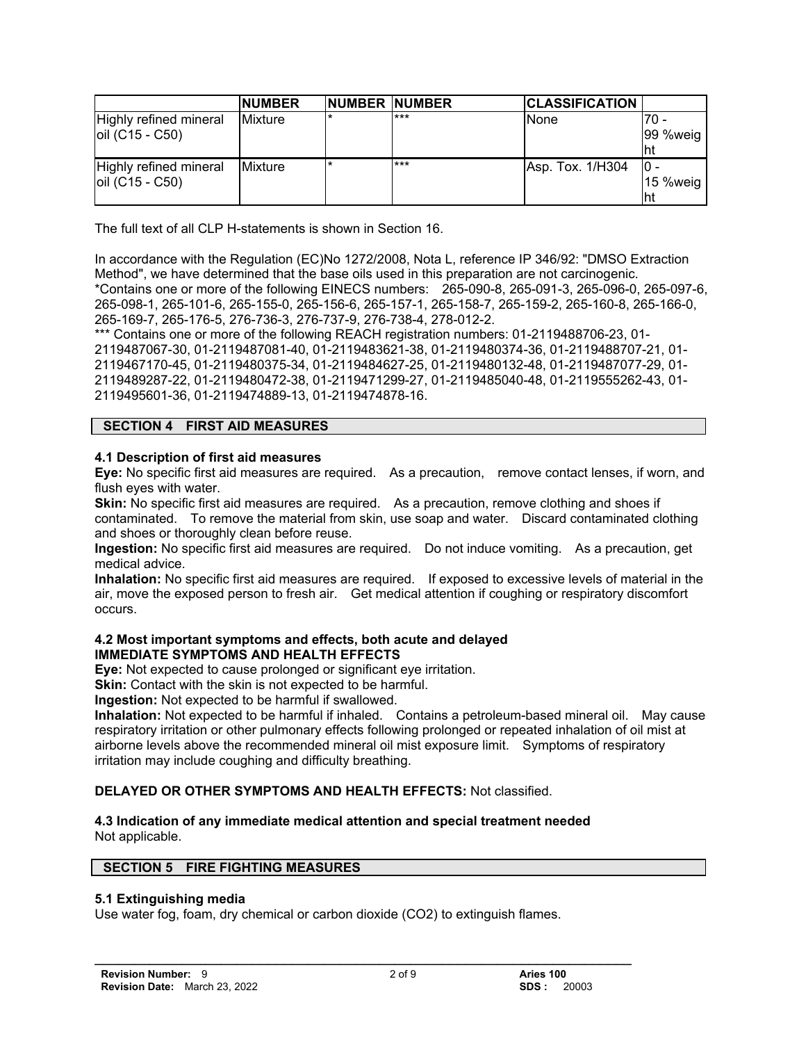|                                           | <b>NUMBER</b>   | NUMBER NUMBER |     | <b>CLASSIFICATION</b> |                           |
|-------------------------------------------|-----------------|---------------|-----|-----------------------|---------------------------|
| Highly refined mineral<br>oil (C15 - C50) | <b>IMixture</b> |               | *** | None                  | 70 -<br>99 %weig          |
| Highly refined mineral<br>oil (C15 - C50) | <b>Mixture</b>  |               | *** | Asp. Tox. 1/H304      | IO -<br>$15$ %weig<br>'ht |

The full text of all CLP H-statements is shown in Section 16.

In accordance with the Regulation (EC)No 1272/2008, Nota L, reference IP 346/92: "DMSO Extraction Method", we have determined that the base oils used in this preparation are not carcinogenic. \*Contains one or more of the following EINECS numbers: 265-090-8, 265-091-3, 265-096-0, 265-097-6, 265-098-1, 265-101-6, 265-155-0, 265-156-6, 265-157-1, 265-158-7, 265-159-2, 265-160-8, 265-166-0, 265-169-7, 265-176-5, 276-736-3, 276-737-9, 276-738-4, 278-012-2.

\*\*\* Contains one or more of the following REACH registration numbers: 01-2119488706-23, 01-2119487067-30, 01-2119487081-40, 01-2119483621-38, 01-2119480374-36, 01-2119488707-21, 01- 2119467170-45, 01-2119480375-34, 01-2119484627-25, 01-2119480132-48, 01-2119487077-29, 01- 2119489287-22, 01-2119480472-38, 01-2119471299-27, 01-2119485040-48, 01-2119555262-43, 01- 2119495601-36, 01-2119474889-13, 01-2119474878-16.

# **SECTION 4 FIRST AID MEASURES**

# **4.1 Description of first aid measures**

**Eye:** No specific first aid measures are required. As a precaution, remove contact lenses, if worn, and flush eyes with water.

**Skin:** No specific first aid measures are required. As a precaution, remove clothing and shoes if contaminated. To remove the material from skin, use soap and water. Discard contaminated clothing and shoes or thoroughly clean before reuse.

**Ingestion:** No specific first aid measures are required. Do not induce vomiting. As a precaution, get medical advice.

**Inhalation:** No specific first aid measures are required. If exposed to excessive levels of material in the air, move the exposed person to fresh air. Get medical attention if coughing or respiratory discomfort occurs.

## **4.2 Most important symptoms and effects, both acute and delayed IMMEDIATE SYMPTOMS AND HEALTH EFFECTS**

**Eye:** Not expected to cause prolonged or significant eye irritation.

**Skin:** Contact with the skin is not expected to be harmful.

**Ingestion:** Not expected to be harmful if swallowed.

**Inhalation:** Not expected to be harmful if inhaled. Contains a petroleum-based mineral oil. May cause respiratory irritation or other pulmonary effects following prolonged or repeated inhalation of oil mist at airborne levels above the recommended mineral oil mist exposure limit. Symptoms of respiratory irritation may include coughing and difficulty breathing.

# **DELAYED OR OTHER SYMPTOMS AND HEALTH EFFECTS:** Not classified.

## **4.3 Indication of any immediate medical attention and special treatment needed**  Not applicable.

# **SECTION 5 FIRE FIGHTING MEASURES**

# **5.1 Extinguishing media**

Use water fog, foam, dry chemical or carbon dioxide (CO2) to extinguish flames.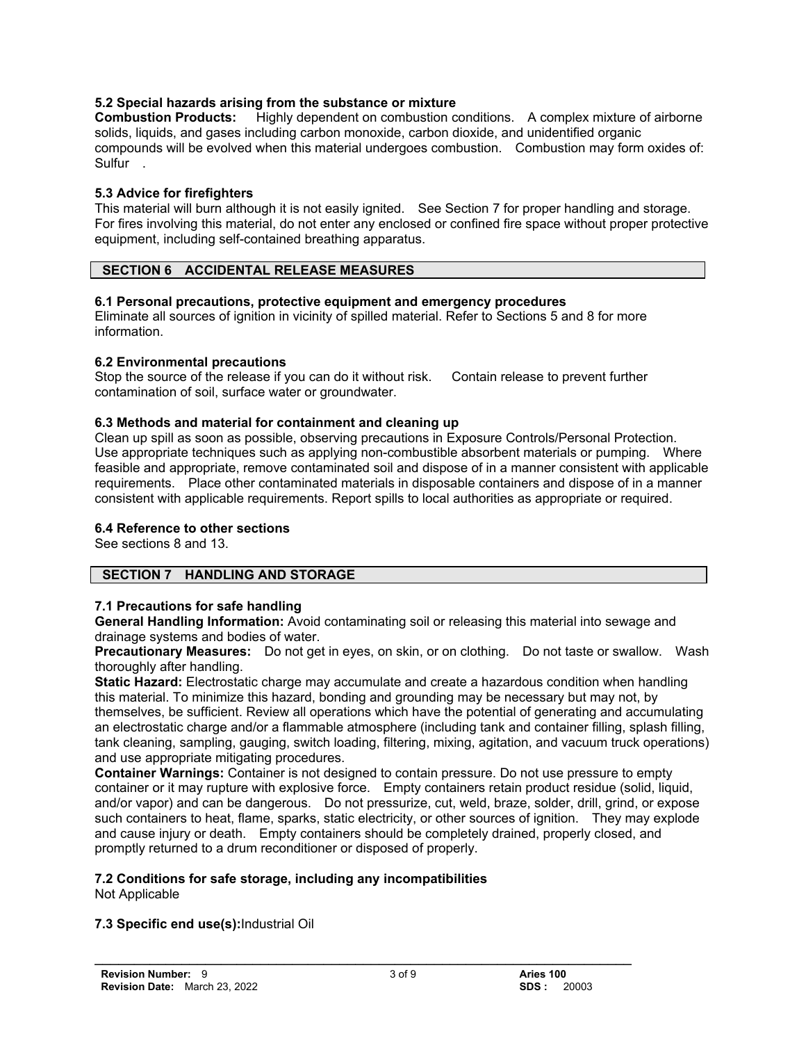# **5.2 Special hazards arising from the substance or mixture**

**Combustion Products:** Highly dependent on combustion conditions. A complex mixture of airborne solids, liquids, and gases including carbon monoxide, carbon dioxide, and unidentified organic compounds will be evolved when this material undergoes combustion. Combustion may form oxides of: Sulfur .

# **5.3 Advice for firefighters**

This material will burn although it is not easily ignited. See Section 7 for proper handling and storage. For fires involving this material, do not enter any enclosed or confined fire space without proper protective equipment, including self-contained breathing apparatus.

# **SECTION 6 ACCIDENTAL RELEASE MEASURES**

# **6.1 Personal precautions, protective equipment and emergency procedures**

Eliminate all sources of ignition in vicinity of spilled material. Refer to Sections 5 and 8 for more information.

# **6.2 Environmental precautions**

Stop the source of the release if you can do it without risk. Contain release to prevent further contamination of soil, surface water or groundwater.

# **6.3 Methods and material for containment and cleaning up**

Clean up spill as soon as possible, observing precautions in Exposure Controls/Personal Protection. Use appropriate techniques such as applying non-combustible absorbent materials or pumping. Where feasible and appropriate, remove contaminated soil and dispose of in a manner consistent with applicable requirements. Place other contaminated materials in disposable containers and dispose of in a manner consistent with applicable requirements. Report spills to local authorities as appropriate or required.

# **6.4 Reference to other sections**

See sections 8 and 13.

# **SECTION 7 HANDLING AND STORAGE**

# **7.1 Precautions for safe handling**

**General Handling Information:** Avoid contaminating soil or releasing this material into sewage and drainage systems and bodies of water.

**Precautionary Measures:** Do not get in eyes, on skin, or on clothing. Do not taste or swallow. Wash thoroughly after handling.

**Static Hazard:** Electrostatic charge may accumulate and create a hazardous condition when handling this material. To minimize this hazard, bonding and grounding may be necessary but may not, by themselves, be sufficient. Review all operations which have the potential of generating and accumulating an electrostatic charge and/or a flammable atmosphere (including tank and container filling, splash filling, tank cleaning, sampling, gauging, switch loading, filtering, mixing, agitation, and vacuum truck operations) and use appropriate mitigating procedures.

**Container Warnings:** Container is not designed to contain pressure. Do not use pressure to empty container or it may rupture with explosive force. Empty containers retain product residue (solid, liquid, and/or vapor) and can be dangerous. Do not pressurize, cut, weld, braze, solder, drill, grind, or expose such containers to heat, flame, sparks, static electricity, or other sources of ignition. They may explode and cause injury or death. Empty containers should be completely drained, properly closed, and promptly returned to a drum reconditioner or disposed of properly.

# **7.2 Conditions for safe storage, including any incompatibilities**

Not Applicable

# **7.3 Specific end use(s):**Industrial Oil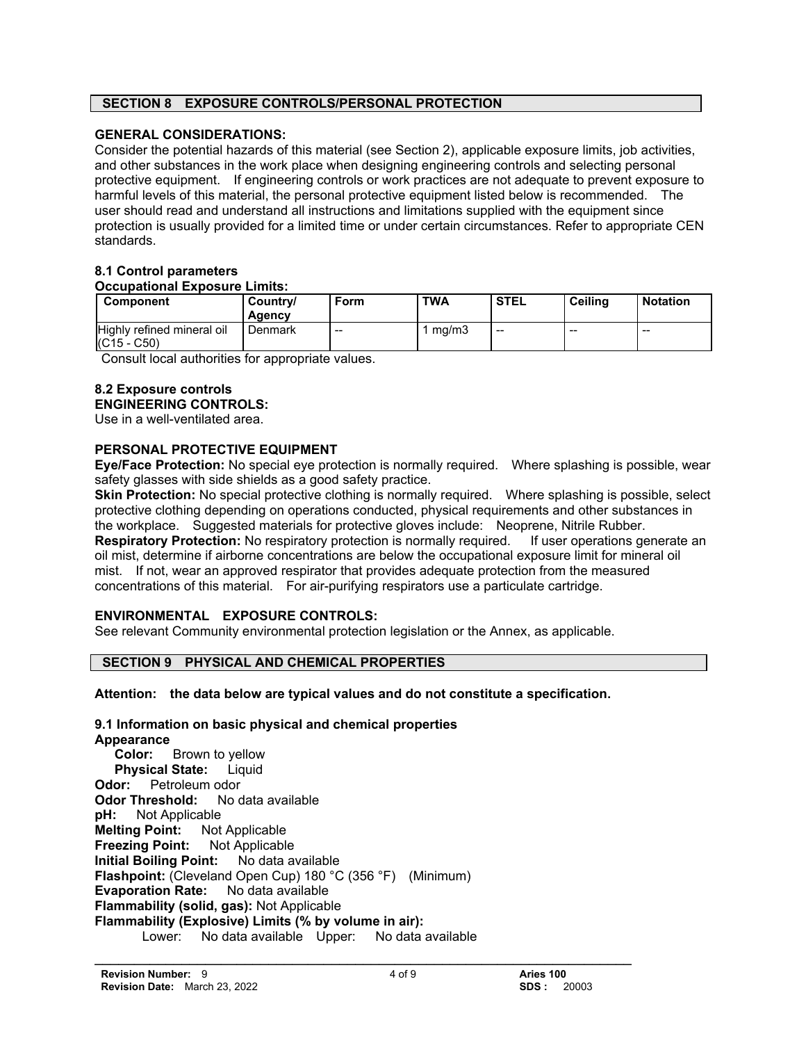# **SECTION 8 EXPOSURE CONTROLS/PERSONAL PROTECTION**

# **GENERAL CONSIDERATIONS:**

Consider the potential hazards of this material (see Section 2), applicable exposure limits, job activities, and other substances in the work place when designing engineering controls and selecting personal protective equipment. If engineering controls or work practices are not adequate to prevent exposure to harmful levels of this material, the personal protective equipment listed below is recommended. The user should read and understand all instructions and limitations supplied with the equipment since protection is usually provided for a limited time or under certain circumstances. Refer to appropriate CEN standards.

## **8.1 Control parameters Occupational Exposure Limits:**

| Component                                   | Country/<br>Agency | <b>Form</b> | <b>TWA</b> | <b>STEL</b> | <b>Ceiling</b>           | <b>Notation</b> |
|---------------------------------------------|--------------------|-------------|------------|-------------|--------------------------|-----------------|
| Highly refined mineral oil<br>$(C15 - C50)$ | Denmark            | $- -$       | mq/m3      | --          | $\overline{\phantom{a}}$ | $- -$           |

Consult local authorities for appropriate values.

## **8.2 Exposure controls ENGINEERING CONTROLS:**

Use in a well-ventilated area.

# **PERSONAL PROTECTIVE EQUIPMENT**

**Eye/Face Protection:** No special eye protection is normally required. Where splashing is possible, wear safety glasses with side shields as a good safety practice.

**Skin Protection:** No special protective clothing is normally required. Where splashing is possible, select protective clothing depending on operations conducted, physical requirements and other substances in the workplace. Suggested materials for protective gloves include: Neoprene, Nitrile Rubber. **Respiratory Protection:** No respiratory protection is normally required. If user operations generate an oil mist, determine if airborne concentrations are below the occupational exposure limit for mineral oil mist. If not, wear an approved respirator that provides adequate protection from the measured concentrations of this material. For air-purifying respirators use a particulate cartridge.

# **ENVIRONMENTAL EXPOSURE CONTROLS:**

See relevant Community environmental protection legislation or the Annex, as applicable.

# **SECTION 9 PHYSICAL AND CHEMICAL PROPERTIES**

**Attention: the data below are typical values and do not constitute a specification.**

## **9.1 Information on basic physical and chemical properties Appearance Color:** Brown to yellow **Physical State:** Liquid **Odor:** Petroleum odor **Odor Threshold:** No data available **pH:** Not Applicable **Melting Point:** Not Applicable **Freezing Point:** Not Applicable **Initial Boiling Point:** No data available **Flashpoint:** (Cleveland Open Cup) 180 °C (356 °F) (Minimum) **Evaporation Rate:** No data available **Flammability (solid, gas):** Not Applicable **Flammability (Explosive) Limits (% by volume in air):** Lower: No data available Upper: No data available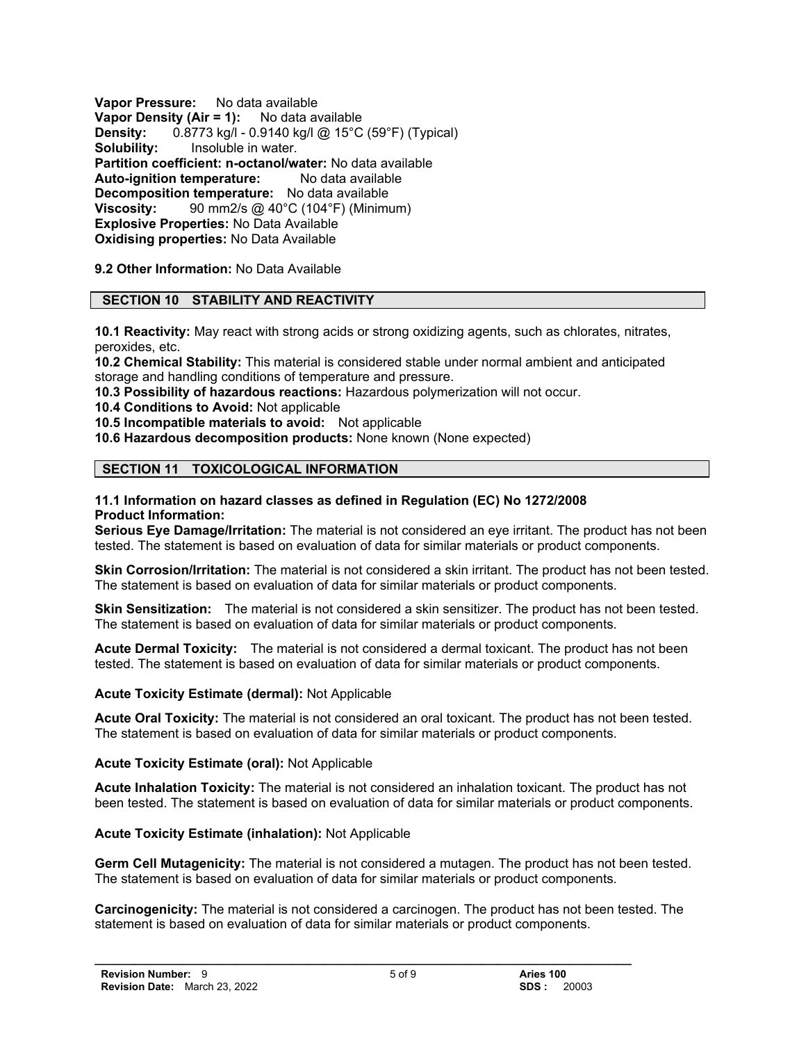**Vapor Pressure:** No data available **Vapor Density (Air = 1):** No data available **Density:** 0.8773 kg/l - 0.9140 kg/l @ 15°C (59°F) (Typical) **Solubility:** Insoluble in water. **Partition coefficient: n-octanol/water:** No data available **Auto-ignition temperature:** No data available **Decomposition temperature:** No data available **Viscosity:** 90 mm2/s @ 40°C (104°F) (Minimum) **Explosive Properties:** No Data Available **Oxidising properties:** No Data Available

**9.2 Other Information:** No Data Available

# **SECTION 10 STABILITY AND REACTIVITY**

**10.1 Reactivity:** May react with strong acids or strong oxidizing agents, such as chlorates, nitrates, peroxides, etc.

**10.2 Chemical Stability:** This material is considered stable under normal ambient and anticipated storage and handling conditions of temperature and pressure.

**10.3 Possibility of hazardous reactions:** Hazardous polymerization will not occur.

**10.4 Conditions to Avoid:** Not applicable

**10.5 Incompatible materials to avoid:** Not applicable

**10.6 Hazardous decomposition products:** None known (None expected)

# **SECTION 11 TOXICOLOGICAL INFORMATION**

#### **11.1 Information on hazard classes as defined in Regulation (EC) No 1272/2008 Product Information:**

**Serious Eye Damage/Irritation:** The material is not considered an eye irritant. The product has not been tested. The statement is based on evaluation of data for similar materials or product components.

**Skin Corrosion/Irritation:** The material is not considered a skin irritant. The product has not been tested. The statement is based on evaluation of data for similar materials or product components.

**Skin Sensitization:** The material is not considered a skin sensitizer. The product has not been tested. The statement is based on evaluation of data for similar materials or product components.

**Acute Dermal Toxicity:** The material is not considered a dermal toxicant. The product has not been tested. The statement is based on evaluation of data for similar materials or product components.

## **Acute Toxicity Estimate (dermal):** Not Applicable

**Acute Oral Toxicity:** The material is not considered an oral toxicant. The product has not been tested. The statement is based on evaluation of data for similar materials or product components.

## **Acute Toxicity Estimate (oral):** Not Applicable

**Acute Inhalation Toxicity:** The material is not considered an inhalation toxicant. The product has not been tested. The statement is based on evaluation of data for similar materials or product components.

## **Acute Toxicity Estimate (inhalation):** Not Applicable

**Germ Cell Mutagenicity:** The material is not considered a mutagen. The product has not been tested. The statement is based on evaluation of data for similar materials or product components.

**Carcinogenicity:** The material is not considered a carcinogen. The product has not been tested. The statement is based on evaluation of data for similar materials or product components.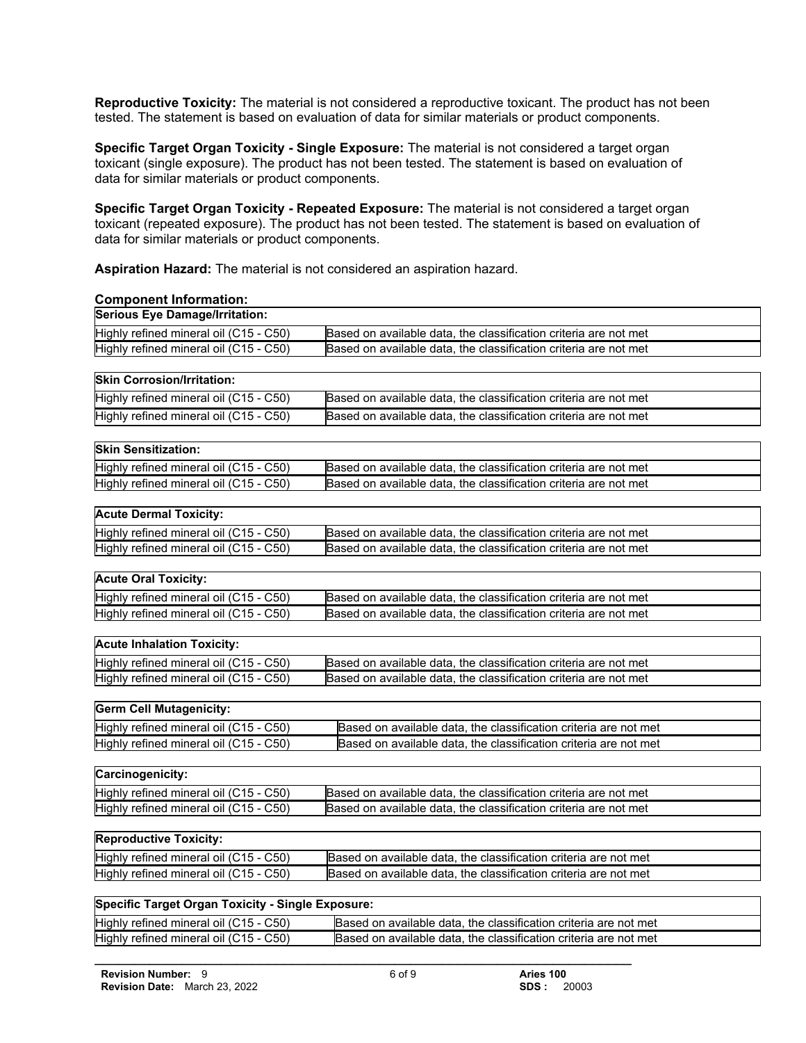**Reproductive Toxicity:** The material is not considered a reproductive toxicant. The product has not been tested. The statement is based on evaluation of data for similar materials or product components.

**Specific Target Organ Toxicity - Single Exposure:** The material is not considered a target organ toxicant (single exposure). The product has not been tested. The statement is based on evaluation of data for similar materials or product components.

**Specific Target Organ Toxicity - Repeated Exposure:** The material is not considered a target organ toxicant (repeated exposure). The product has not been tested. The statement is based on evaluation of data for similar materials or product components.

**Aspiration Hazard:** The material is not considered an aspiration hazard.

**Component Information:**

| oomponent mormanon.                               |                                                                  |  |
|---------------------------------------------------|------------------------------------------------------------------|--|
| <b>Serious Eye Damage/Irritation:</b>             |                                                                  |  |
| Highly refined mineral oil (C15 - C50)            | Based on available data, the classification criteria are not met |  |
| Highly refined mineral oil (C15 - C50)            | Based on available data, the classification criteria are not met |  |
|                                                   |                                                                  |  |
| <b>Skin Corrosion/Irritation:</b>                 |                                                                  |  |
| Highly refined mineral oil (C15 - C50)            | Based on available data, the classification criteria are not met |  |
| Highly refined mineral oil (C15 - C50)            | Based on available data, the classification criteria are not met |  |
|                                                   |                                                                  |  |
| <b>Skin Sensitization:</b>                        |                                                                  |  |
| Highly refined mineral oil (C15 - C50)            | Based on available data, the classification criteria are not met |  |
| Highly refined mineral oil (C15 - C50)            | Based on available data, the classification criteria are not met |  |
|                                                   |                                                                  |  |
| <b>Acute Dermal Toxicity:</b>                     |                                                                  |  |
| Highly refined mineral oil (C15 - C50)            | Based on available data, the classification criteria are not met |  |
| Highly refined mineral oil (C15 - C50)            | Based on available data, the classification criteria are not met |  |
| <b>Acute Oral Toxicity:</b>                       |                                                                  |  |
|                                                   |                                                                  |  |
| Highly refined mineral oil (C15 - C50)            | Based on available data, the classification criteria are not met |  |
| Highly refined mineral oil (C15 - C50)            | Based on available data, the classification criteria are not met |  |
| <b>Acute Inhalation Toxicity:</b>                 |                                                                  |  |
| Highly refined mineral oil (C15 - C50)            | Based on available data, the classification criteria are not met |  |
| Highly refined mineral oil (C15 - C50)            | Based on available data, the classification criteria are not met |  |
|                                                   |                                                                  |  |
| <b>Germ Cell Mutagenicity:</b>                    |                                                                  |  |
| Highly refined mineral oil (C15 - C50)            | Based on available data, the classification criteria are not met |  |
| Highly refined mineral oil (C15 - C50)            | Based on available data, the classification criteria are not met |  |
|                                                   |                                                                  |  |
| Carcinogenicity:                                  |                                                                  |  |
| Highly refined mineral oil (C15 - C50)            | Based on available data, the classification criteria are not met |  |
| Highly refined mineral oil (C15 - C50)            | Based on available data, the classification criteria are not met |  |
|                                                   |                                                                  |  |
| <b>Reproductive Toxicity:</b>                     |                                                                  |  |
| Highly refined mineral oil (C15 - C50)            | Based on available data, the classification criteria are not met |  |
| Highly refined mineral oil (C15 - C50)            | Based on available data, the classification criteria are not met |  |
|                                                   |                                                                  |  |
| Specific Target Organ Toxicity - Single Exposure: |                                                                  |  |
| Highly refined mineral oil (C15 - C50)            | Based on available data, the classification criteria are not met |  |
| Highly refined mineral oil (C15 - C50)            | Based on available data, the classification criteria are not met |  |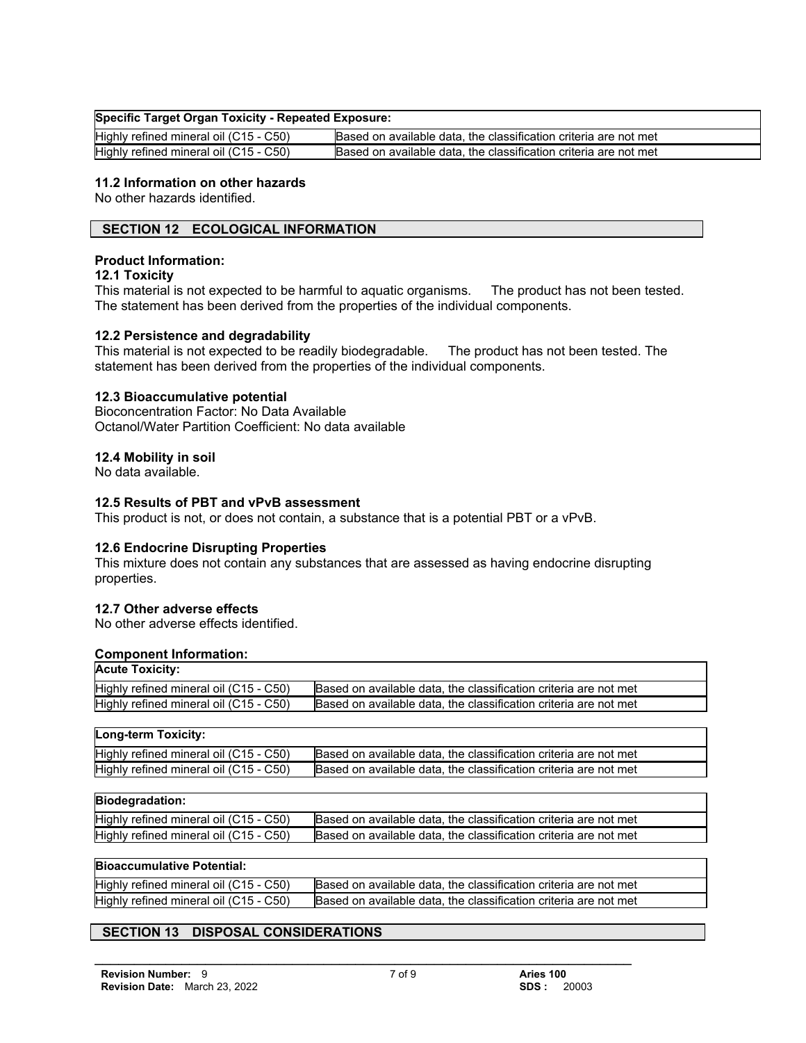## **Specific Target Organ Toxicity - Repeated Exposure:**

| Highly refined mineral oil (C15 - C50) | Based on available data, the classification criteria are not met |
|----------------------------------------|------------------------------------------------------------------|
| Highly refined mineral oil (C15 - C50) | Based on available data, the classification criteria are not met |

# **11.2 Information on other hazards**

No other hazards identified.

# **SECTION 12 ECOLOGICAL INFORMATION**

## **Product Information:**

## **12.1 Toxicity**

This material is not expected to be harmful to aquatic organisms. The product has not been tested. The statement has been derived from the properties of the individual components.

## **12.2 Persistence and degradability**

This material is not expected to be readily biodegradable. The product has not been tested. The statement has been derived from the properties of the individual components.

## **12.3 Bioaccumulative potential**

Bioconcentration Factor: No Data Available Octanol/Water Partition Coefficient: No data available

## **12.4 Mobility in soil**

No data available.

## **12.5 Results of PBT and vPvB assessment**

This product is not, or does not contain, a substance that is a potential PBT or a vPvB.

## **12.6 Endocrine Disrupting Properties**

This mixture does not contain any substances that are assessed as having endocrine disrupting properties.

## **12.7 Other adverse effects**

No other adverse effects identified.

## **Component Information:**

| <b>Acute Toxicity:</b>                 |                                                                  |
|----------------------------------------|------------------------------------------------------------------|
| Highly refined mineral oil (C15 - C50) | Based on available data, the classification criteria are not met |
| Highly refined mineral oil (C15 - C50) | Based on available data, the classification criteria are not met |

| Long-term Toxicity:                    |                                                                  |
|----------------------------------------|------------------------------------------------------------------|
| Highly refined mineral oil (C15 - C50) | Based on available data, the classification criteria are not met |
| Highly refined mineral oil (C15 - C50) | Based on available data, the classification criteria are not met |

# **Biodegradation:**

| .                                      |                                                                  |
|----------------------------------------|------------------------------------------------------------------|
| Highly refined mineral oil (C15 - C50) | Based on available data, the classification criteria are not met |
| Highly refined mineral oil (C15 - C50) | Based on available data, the classification criteria are not met |
|                                        |                                                                  |

## **Bioaccumulative Potential:**

| Highly refined mineral oil (C15 - C50) | Based on available data, the classification criteria are not met |
|----------------------------------------|------------------------------------------------------------------|
| Highly refined mineral oil (C15 - C50) | Based on available data, the classification criteria are not met |

# **SECTION 13 DISPOSAL CONSIDERATIONS**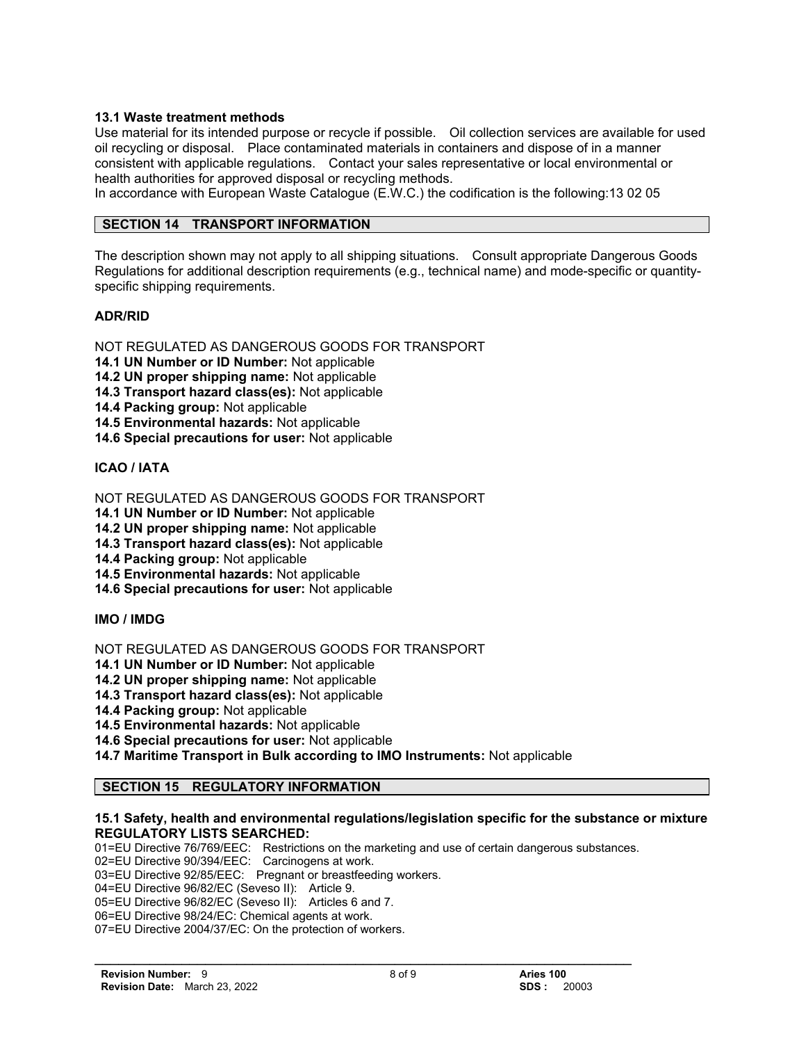# **13.1 Waste treatment methods**

Use material for its intended purpose or recycle if possible. Oil collection services are available for used oil recycling or disposal. Place contaminated materials in containers and dispose of in a manner consistent with applicable regulations. Contact your sales representative or local environmental or health authorities for approved disposal or recycling methods.

In accordance with European Waste Catalogue (E.W.C.) the codification is the following:13 02 05

## **SECTION 14 TRANSPORT INFORMATION**

The description shown may not apply to all shipping situations. Consult appropriate Dangerous Goods Regulations for additional description requirements (e.g., technical name) and mode-specific or quantityspecific shipping requirements.

## **ADR/RID**

NOT REGULATED AS DANGEROUS GOODS FOR TRANSPORT

**14.1 UN Number or ID Number:** Not applicable

**14.2 UN proper shipping name:** Not applicable

**14.3 Transport hazard class(es):** Not applicable

**14.4 Packing group:** Not applicable

**14.5 Environmental hazards:** Not applicable

**14.6 Special precautions for user:** Not applicable

# **ICAO / IATA**

NOT REGULATED AS DANGEROUS GOODS FOR TRANSPORT

**14.1 UN Number or ID Number:** Not applicable

**14.2 UN proper shipping name:** Not applicable

**14.3 Transport hazard class(es):** Not applicable

**14.4 Packing group:** Not applicable

**14.5 Environmental hazards:** Not applicable

**14.6 Special precautions for user:** Not applicable

**IMO / IMDG**

NOT REGULATED AS DANGEROUS GOODS FOR TRANSPORT

**14.1 UN Number or ID Number:** Not applicable

**14.2 UN proper shipping name:** Not applicable

**14.3 Transport hazard class(es):** Not applicable

**14.4 Packing group:** Not applicable

**14.5 Environmental hazards:** Not applicable

**14.6 Special precautions for user:** Not applicable

**14.7 Maritime Transport in Bulk according to IMO Instruments:** Not applicable

# **SECTION 15 REGULATORY INFORMATION**

## **15.1 Safety, health and environmental regulations/legislation specific for the substance or mixture REGULATORY LISTS SEARCHED:**

01=EU Directive 76/769/EEC: Restrictions on the marketing and use of certain dangerous substances. 02=EU Directive 90/394/EEC: Carcinogens at work. 03=EU Directive 92/85/EEC: Pregnant or breastfeeding workers. 04=EU Directive 96/82/EC (Seveso II): Article 9. 05=EU Directive 96/82/EC (Seveso II): Articles 6 and 7. 06=EU Directive 98/24/EC: Chemical agents at work. 07=EU Directive 2004/37/EC: On the protection of workers.